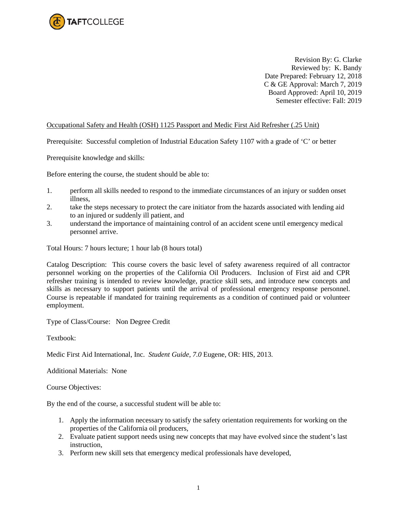

Revision By: G. Clarke Reviewed by: K. Bandy Date Prepared: February 12, 2018 C & GE Approval: March 7, 2019 Board Approved: April 10, 2019 Semester effective: Fall: 2019

## Occupational Safety and Health (OSH) 1125 Passport and Medic First Aid Refresher (.25 Unit)

Prerequisite: Successful completion of Industrial Education Safety 1107 with a grade of 'C' or better

Prerequisite knowledge and skills:

Before entering the course, the student should be able to:

- 1. perform all skills needed to respond to the immediate circumstances of an injury or sudden onset illness,
- 2. take the steps necessary to protect the care initiator from the hazards associated with lending aid to an injured or suddenly ill patient, and
- 3. understand the importance of maintaining control of an accident scene until emergency medical personnel arrive.

Total Hours: 7 hours lecture; 1 hour lab (8 hours total)

Catalog Description: This course covers the basic level of safety awareness required of all contractor personnel working on the properties of the California Oil Producers. Inclusion of First aid and CPR refresher training is intended to review knowledge, practice skill sets, and introduce new concepts and skills as necessary to support patients until the arrival of professional emergency response personnel. Course is repeatable if mandated for training requirements as a condition of continued paid or volunteer employment.

Type of Class/Course: Non Degree Credit

Textbook:

Medic First Aid International, Inc. *Student Guide, 7.0* Eugene, OR: HIS, 2013.

Additional Materials: None

Course Objectives:

By the end of the course, a successful student will be able to:

- 1. Apply the information necessary to satisfy the safety orientation requirements for working on the properties of the California oil producers,
- 2. Evaluate patient support needs using new concepts that may have evolved since the student's last instruction,
- 3. Perform new skill sets that emergency medical professionals have developed,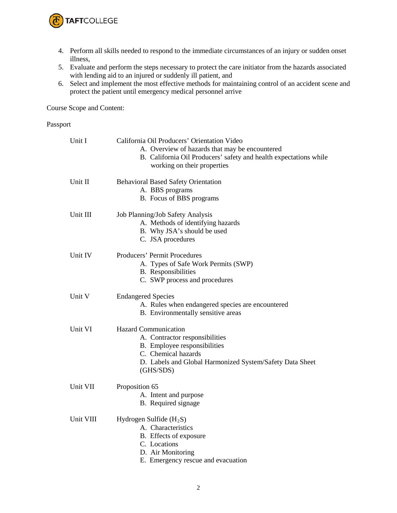

- 4. Perform all skills needed to respond to the immediate circumstances of an injury or sudden onset illness,
- 5. Evaluate and perform the steps necessary to protect the care initiator from the hazards associated with lending aid to an injured or suddenly ill patient, and
- 6. Select and implement the most effective methods for maintaining control of an accident scene and protect the patient until emergency medical personnel arrive

Course Scope and Content:

## Passport

| Unit I    | California Oil Producers' Orientation Video<br>A. Overview of hazards that may be encountered<br>B. California Oil Producers' safety and health expectations while<br>working on their properties |
|-----------|---------------------------------------------------------------------------------------------------------------------------------------------------------------------------------------------------|
| Unit II   | <b>Behavioral Based Safety Orientation</b><br>A. BBS programs<br>B. Focus of BBS programs                                                                                                         |
| Unit III  | Job Planning/Job Safety Analysis<br>A. Methods of identifying hazards<br>B. Why JSA's should be used<br>C. JSA procedures                                                                         |
| Unit IV   | Producers' Permit Procedures<br>A. Types of Safe Work Permits (SWP)<br><b>B.</b> Responsibilities<br>C. SWP process and procedures                                                                |
| Unit V    | <b>Endangered Species</b><br>A. Rules when endangered species are encountered<br>B. Environmentally sensitive areas                                                                               |
| Unit VI   | <b>Hazard Communication</b><br>A. Contractor responsibilities<br>B. Employee responsibilities<br>C. Chemical hazards<br>D. Labels and Global Harmonized System/Safety Data Sheet<br>(GHS/SDS)     |
| Unit VII  | Proposition 65<br>A. Intent and purpose<br>B. Required signage                                                                                                                                    |
| Unit VIII | Hydrogen Sulfide $(H_2S)$<br>A. Characteristics<br>B. Effects of exposure<br>C. Locations<br>D. Air Monitoring<br>E. Emergency rescue and evacuation                                              |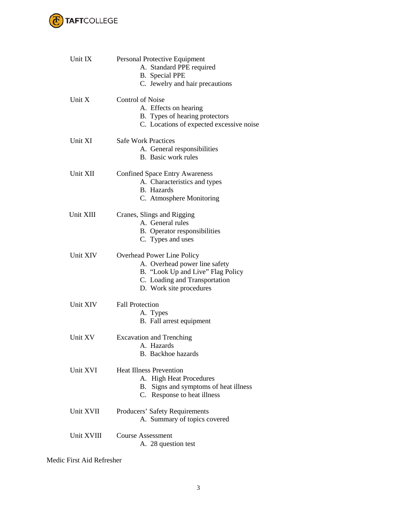

| Unit IX    | Personal Protective Equipment<br>A. Standard PPE required<br><b>B.</b> Special PPE<br>C. Jewelry and hair precautions                                        |
|------------|--------------------------------------------------------------------------------------------------------------------------------------------------------------|
| Unit X     | <b>Control of Noise</b><br>A. Effects on hearing<br>B. Types of hearing protectors<br>C. Locations of expected excessive noise                               |
| Unit XI    | <b>Safe Work Practices</b><br>A. General responsibilities<br><b>B.</b> Basic work rules                                                                      |
| Unit XII   | <b>Confined Space Entry Awareness</b><br>A. Characteristics and types<br>B. Hazards<br>C. Atmosphere Monitoring                                              |
| Unit XIII  | Cranes, Slings and Rigging<br>A. General rules<br>B. Operator responsibilities<br>C. Types and uses                                                          |
| Unit XIV   | Overhead Power Line Policy<br>A. Overhead power line safety<br>B. "Look Up and Live" Flag Policy<br>C. Loading and Transportation<br>D. Work site procedures |
| Unit XIV   | <b>Fall Protection</b><br>A. Types<br>B. Fall arrest equipment                                                                                               |
| Unit XV    | <b>Excavation and Trenching</b><br>A. Hazards<br><b>B.</b> Backhoe hazards                                                                                   |
| Unit XVI   | <b>Heat Illness Prevention</b><br>A. High Heat Procedures<br>Signs and symptoms of heat illness<br>В.<br>C. Response to heat illness                         |
| Unit XVII  | Producers' Safety Requirements<br>A. Summary of topics covered                                                                                               |
| Unit XVIII | <b>Course Assessment</b><br>A. 28 question test                                                                                                              |

Medic First Aid Refresher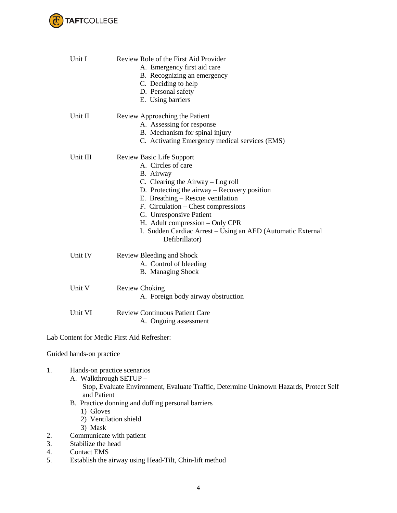

|                                                   | Unit I                                                                                               | Review Role of the First Aid Provider                                         |  |  |
|---------------------------------------------------|------------------------------------------------------------------------------------------------------|-------------------------------------------------------------------------------|--|--|
|                                                   |                                                                                                      | A. Emergency first aid care                                                   |  |  |
|                                                   |                                                                                                      | B. Recognizing an emergency                                                   |  |  |
|                                                   |                                                                                                      | C. Deciding to help                                                           |  |  |
|                                                   |                                                                                                      | D. Personal safety                                                            |  |  |
|                                                   |                                                                                                      | E. Using barriers                                                             |  |  |
|                                                   | Unit II                                                                                              | Review Approaching the Patient                                                |  |  |
|                                                   |                                                                                                      | A. Assessing for response                                                     |  |  |
|                                                   |                                                                                                      | B. Mechanism for spinal injury                                                |  |  |
|                                                   |                                                                                                      | C. Activating Emergency medical services (EMS)                                |  |  |
|                                                   | Unit III                                                                                             | Review Basic Life Support                                                     |  |  |
|                                                   |                                                                                                      | A. Circles of care                                                            |  |  |
|                                                   |                                                                                                      | B. Airway                                                                     |  |  |
|                                                   |                                                                                                      | C. Clearing the Airway - Log roll                                             |  |  |
|                                                   |                                                                                                      | D. Protecting the airway – Recovery position                                  |  |  |
|                                                   |                                                                                                      | E. Breathing - Rescue ventilation                                             |  |  |
|                                                   |                                                                                                      |                                                                               |  |  |
|                                                   |                                                                                                      | F. Circulation - Chest compressions                                           |  |  |
|                                                   |                                                                                                      | G. Unresponsive Patient                                                       |  |  |
|                                                   |                                                                                                      | H. Adult compression – Only CPR                                               |  |  |
|                                                   |                                                                                                      | I. Sudden Cardiac Arrest – Using an AED (Automatic External<br>Defibrillator) |  |  |
|                                                   | Unit IV                                                                                              | Review Bleeding and Shock                                                     |  |  |
|                                                   |                                                                                                      | A. Control of bleeding                                                        |  |  |
|                                                   |                                                                                                      | <b>B.</b> Managing Shock                                                      |  |  |
|                                                   | Unit V                                                                                               | <b>Review Choking</b>                                                         |  |  |
|                                                   |                                                                                                      | A. Foreign body airway obstruction                                            |  |  |
|                                                   |                                                                                                      |                                                                               |  |  |
|                                                   | Unit VI                                                                                              | <b>Review Continuous Patient Care</b>                                         |  |  |
|                                                   |                                                                                                      | A. Ongoing assessment                                                         |  |  |
|                                                   |                                                                                                      | Lab Content for Medic First Aid Refresher:                                    |  |  |
|                                                   | Guided hands-on practice                                                                             |                                                                               |  |  |
| 1.                                                | Hands-on practice scenarios                                                                          |                                                                               |  |  |
| A. Walkthrough SETUP -                            |                                                                                                      |                                                                               |  |  |
|                                                   | Stop, Evaluate Environment, Evaluate Traffic, Determine Unknown Hazards, Protect Self<br>and Patient |                                                                               |  |  |
|                                                   |                                                                                                      |                                                                               |  |  |
| B. Practice donning and doffing personal barriers |                                                                                                      |                                                                               |  |  |
|                                                   | 1) Gloves                                                                                            |                                                                               |  |  |
|                                                   | 2) Ventilation shield                                                                                |                                                                               |  |  |
|                                                   | 3) Mask                                                                                              |                                                                               |  |  |
| 2.                                                | Communicate with patient                                                                             |                                                                               |  |  |
| 3.                                                | Stabilize the head                                                                                   |                                                                               |  |  |
|                                                   |                                                                                                      |                                                                               |  |  |

- 4. Contact EMS<br>5. Establish the a
- 5. Establish the airway using Head-Tilt, Chin-lift method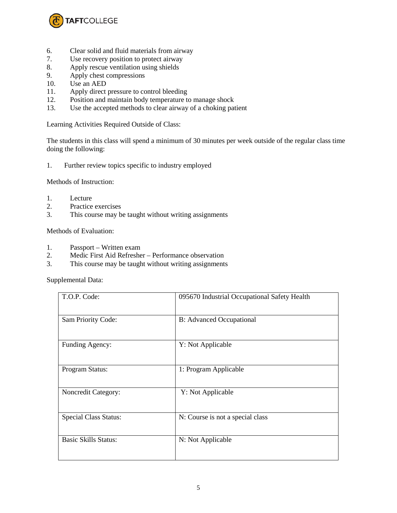

- 6. Clear solid and fluid materials from airway
- 7. Use recovery position to protect airway
- 8. Apply rescue ventilation using shields
- 9. Apply chest compressions
- 10. Use an AED
- 11. Apply direct pressure to control bleeding<br>12. Position and maintain body temperature to
- Position and maintain body temperature to manage shock
- 13. Use the accepted methods to clear airway of a choking patient

Learning Activities Required Outside of Class:

The students in this class will spend a minimum of 30 minutes per week outside of the regular class time doing the following:

1. Further review topics specific to industry employed

Methods of Instruction:

- 1. Lecture
- 2. Practice exercises<br>3. This course may b
- This course may be taught without writing assignments

Methods of Evaluation:

- 1. Passport Written exam
- 2. Medic First Aid Refresher Performance observation
- 3. This course may be taught without writing assignments

Supplemental Data:

| T.O.P. Code:                 | 095670 Industrial Occupational Safety Health |
|------------------------------|----------------------------------------------|
| Sam Priority Code:           | <b>B:</b> Advanced Occupational              |
| Funding Agency:              | Y: Not Applicable                            |
| Program Status:              | 1: Program Applicable                        |
| Noncredit Category:          | Y: Not Applicable                            |
| <b>Special Class Status:</b> | N: Course is not a special class             |
| <b>Basic Skills Status:</b>  | N: Not Applicable                            |